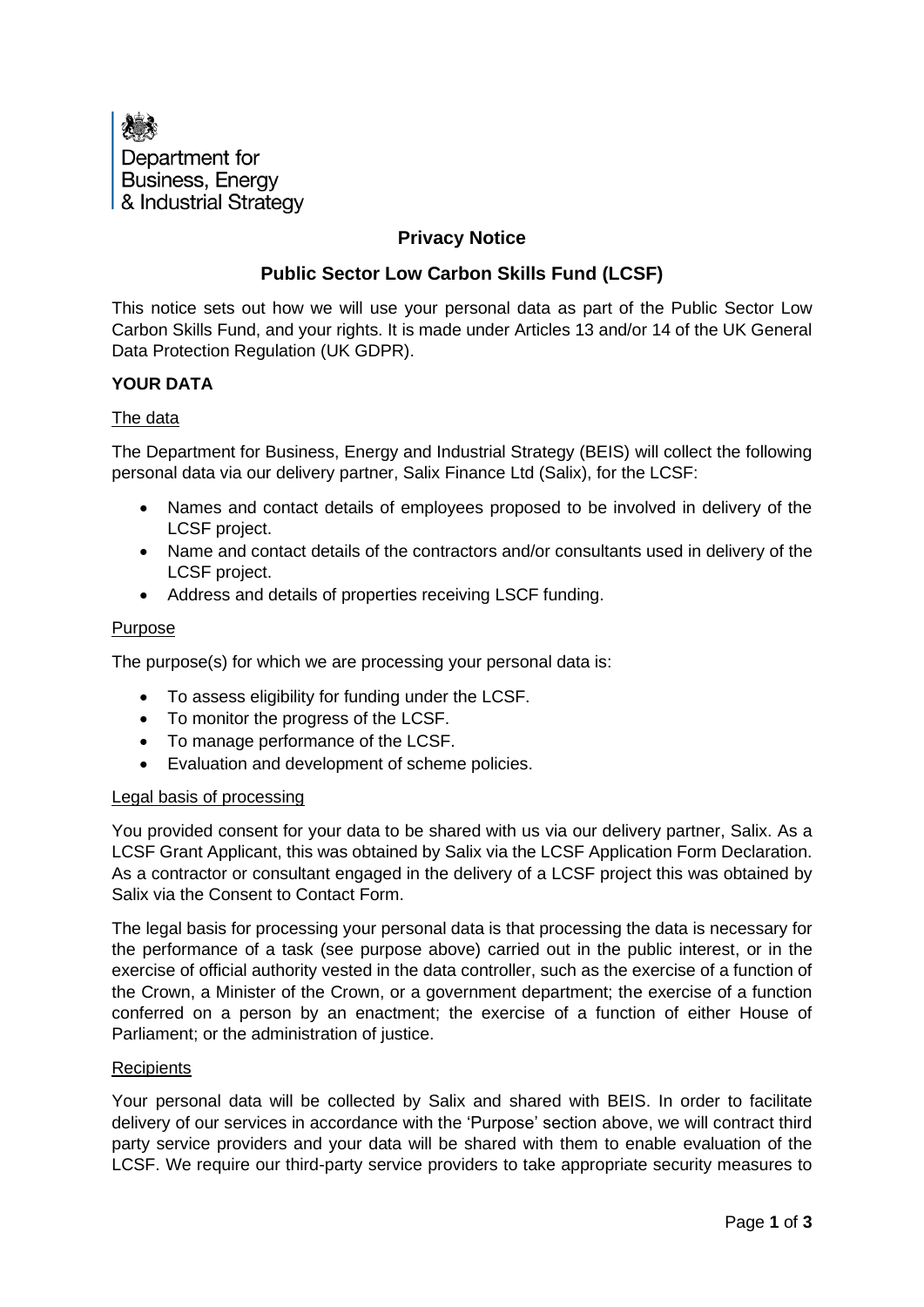

# **Privacy Notice**

# **Public Sector Low Carbon Skills Fund (LCSF)**

This notice sets out how we will use your personal data as part of the Public Sector Low Carbon Skills Fund, and your rights. It is made under Articles 13 and/or 14 of the UK General Data Protection Regulation (UK GDPR).

## **YOUR DATA**

### The data

The Department for Business, Energy and Industrial Strategy (BEIS) will collect the following personal data via our delivery partner, Salix Finance Ltd (Salix), for the LCSF:

- Names and contact details of employees proposed to be involved in delivery of the LCSF project.
- Name and contact details of the contractors and/or consultants used in delivery of the LCSF project.
- Address and details of properties receiving LSCF funding.

### Purpose

The purpose(s) for which we are processing your personal data is:

- To assess eligibility for funding under the LCSF.
- To monitor the progress of the LCSF.
- To manage performance of the LCSF.
- Evaluation and development of scheme policies.

### Legal basis of processing

You provided consent for your data to be shared with us via our delivery partner, Salix. As a LCSF Grant Applicant, this was obtained by Salix via the LCSF Application Form Declaration. As a contractor or consultant engaged in the delivery of a LCSF project this was obtained by Salix via the Consent to Contact Form.

The legal basis for processing your personal data is that processing the data is necessary for the performance of a task (see purpose above) carried out in the public interest, or in the exercise of official authority vested in the data controller, such as the exercise of a function of the Crown, a Minister of the Crown, or a government department; the exercise of a function conferred on a person by an enactment; the exercise of a function of either House of Parliament; or the administration of justice.

### **Recipients**

Your personal data will be collected by Salix and shared with BEIS. In order to facilitate delivery of our services in accordance with the 'Purpose' section above, we will contract third party service providers and your data will be shared with them to enable evaluation of the LCSF. We require our third-party service providers to take appropriate security measures to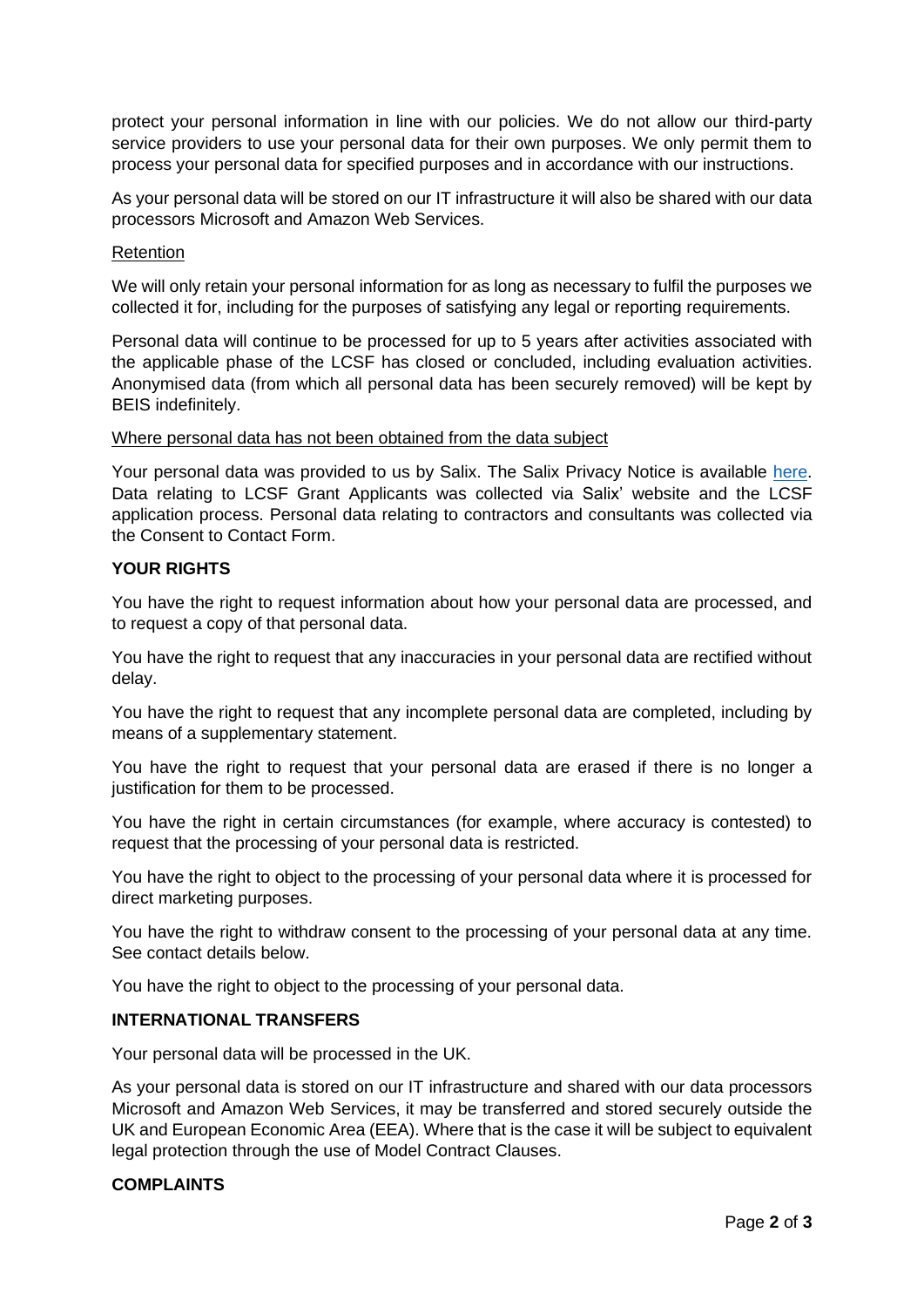protect your personal information in line with our policies. We do not allow our third-party service providers to use your personal data for their own purposes. We only permit them to process your personal data for specified purposes and in accordance with our instructions.

As your personal data will be stored on our IT infrastructure it will also be shared with our data processors Microsoft and Amazon Web Services.

## Retention

We will only retain your personal information for as long as necessary to fulfil the purposes we collected it for, including for the purposes of satisfying any legal or reporting requirements.

Personal data will continue to be processed for up to 5 years after activities associated with the applicable phase of the LCSF has closed or concluded, including evaluation activities. Anonymised data (from which all personal data has been securely removed) will be kept by BEIS indefinitely.

## Where personal data has not been obtained from the data subject

Your personal data was provided to us by Salix. The Salix Privacy Notice is available [here.](https://www.salixfinance.co.uk/privacy-policy) Data relating to LCSF Grant Applicants was collected via Salix' website and the LCSF application process. Personal data relating to contractors and consultants was collected via the Consent to Contact Form.

# **YOUR RIGHTS**

You have the right to request information about how your personal data are processed, and to request a copy of that personal data.

You have the right to request that any inaccuracies in your personal data are rectified without delay.

You have the right to request that any incomplete personal data are completed, including by means of a supplementary statement.

You have the right to request that your personal data are erased if there is no longer a justification for them to be processed.

You have the right in certain circumstances (for example, where accuracy is contested) to request that the processing of your personal data is restricted.

You have the right to object to the processing of your personal data where it is processed for direct marketing purposes.

You have the right to withdraw consent to the processing of your personal data at any time. See contact details below.

You have the right to object to the processing of your personal data.

# **INTERNATIONAL TRANSFERS**

Your personal data will be processed in the UK.

As your personal data is stored on our IT infrastructure and shared with our data processors Microsoft and Amazon Web Services, it may be transferred and stored securely outside the UK and European Economic Area (EEA). Where that is the case it will be subject to equivalent legal protection through the use of Model Contract Clauses.

# **COMPLAINTS**